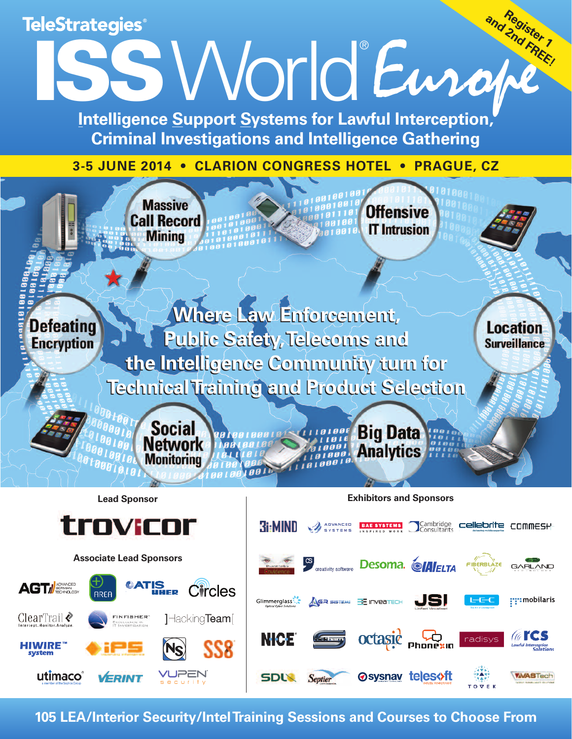**TeleStrategies®** 

# **ISS**World® Europe **Register <sup>1</sup> and 2nd FREE!**

®

**Intelligence Support Systems for Lawful Interception, Criminal Investigations and Intelligence Gathering**

**3-5 JUNE 2014 • CLARION CONGRESS HOTEL • PRAGUE, CZ**



**105 LEA/Interior Security/IntelTraining Sessions and Courses to Choose From**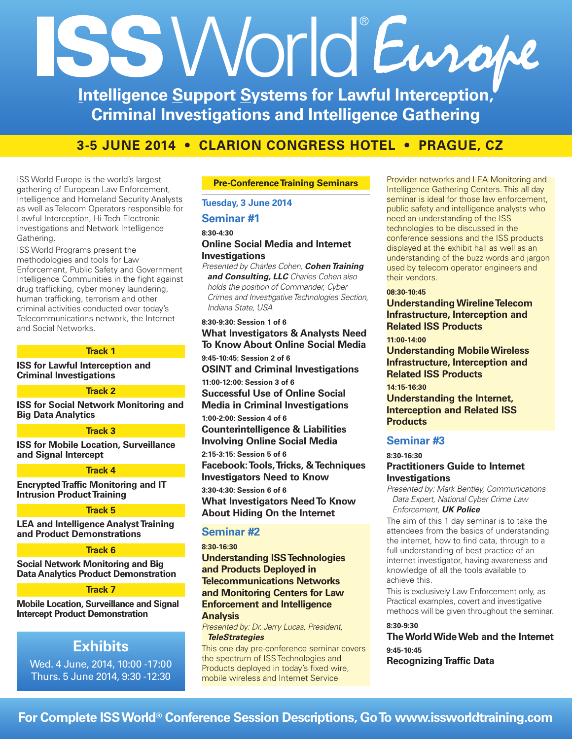# **ISS**World® Europe

**Intelligence Support Systems for Lawful Interception, Criminal Investigations and Intelligence Gathering**

### **3-5 JUNE 2014 • CLARION CONGRESS HOTEL • PRAGUE, CZ**

ISS World Europe is the world's largest gathering of European Law Enforcement, Intelligence and Homeland Security Analysts as well as Telecom Operators responsible for Lawful Interception, Hi-Tech Electronic Investigations and Network Intelligence Gathering.

ISS World Programs present the methodologies and tools for Law Enforcement, Public Safety and Government Intelligence Communities in the fight against drug trafficking, cyber money laundering, human trafficking, terrorism and other criminal activities conducted over today's Telecommunications network, the Internet and Social Networks.

#### **Track 1**

**ISS for Lawful Interception and Criminal Investigations**

#### **Track 2**

**ISS for Social Network Monitoring and Big Data Analytics**

#### **Track 3**

**ISS for Mobile Location, Surveillance and Signal Intercept**

#### **Track 4**

**EncryptedTraffic Monitoring and IT Intrusion Product Training** 

#### **Track 5**

**LEA** and Intelligence Analyst Training **and Product Demonstrations**

#### **Track 6**

**Social Network Monitoring and Big Data Analytics Product Demonstration**

#### **Track 7**

**Mobile Location, Surveillance and Signal Intercept Product Demonstration**

#### **Exhibits**

Wed. 4 June, 2014, 10:00 -17:00 Thurs. 5 June 2014, 9:30 -12:30

#### **Pre-ConferenceTraining Seminars**

#### **Tuesday, 3 June 2014**

#### **Seminar #1**

**8:30-4:30**

#### **Online Social Media and Internet Investigations**

*Presented by Charles Cohen, CohenTraining and Consulting, LLC Charles Cohen also holds the position of Commander, Cyber Crimes and InvestigativeTechnologies Section, Indiana State, USA*

#### **8:30-9:30: Session 1 of 6**

**What Investigators & Analysts Need To Know About Online Social Media**

**9:45-10:45: Session 2 of 6 OSINT and Criminal Investigations**

**11:00-12:00: Session 3 of 6 Successful Use of Online Social**

**Media in Criminal Investigations 1:00-2:00: Session 4 of 6**

**Counterintelligence & Liabilities Involving Online Social Media**

**2:15-3:15: Session 5 of 6 Facebook:Tools,Tricks, &Techniques Investigators Need to Know**

**3:30-4:30: Session 6 of 6 What Investigators NeedTo Know About Hiding On the Internet**

#### **Seminar #2**

#### **8:30-16:30**

**Understanding ISSTechnologies and Products Deployed in Telecommunications Networks and Monitoring Centers for Law Enforcement and Intelligence Analysis**

*Presented by: Dr. Jerry Lucas, President, TeleStrategies*

This one day pre-conference seminar covers the spectrum of ISS Technologies and Products deployed in today's fixed wire, mobile wireless and Internet Service

Provider networks and LEA Monitoring and Intelligence Gathering Centers. This all day seminar is ideal for those law enforcement, public safety and intelligence analysts who need an understanding of the ISS technologies to be discussed in the conference sessions and the ISS products displayed at the exhibit hall as well as an understanding of the buzz words and jargon used by telecom operator engineers and their vendors.

#### **08:30-10:45**

**UnderstandingWirelineTelecom Infrastructure, Interception and Related ISS Products 11:00-14:00 Understanding MobileWireless Infrastructure, Interception and Related ISS Products 14:15-16:30 Understanding the Internet, Interception and Related ISS Products**

#### **Seminar #3**

**8:30-16:30**

#### **Practitioners Guide to Internet Investigations**

*Presented by: Mark Bentley, Communications Data Expert, National Cyber Crime Law Enforcement, UK Police*

The aim of this 1 day seminar is to take the attendees from the basics of understanding the internet, how to find data, through to a full understanding of best practice of an internet investigator, having awareness and knowledge of all the tools available to achieve this.

This is exclusively Law Enforcement only, as Practical examples, covert and investigative methods will be given throughout the seminar.

#### **8:30-9:30**

**TheWorldWideWeb and the Internet 9:45-10:45 RecognizingTraffic Data**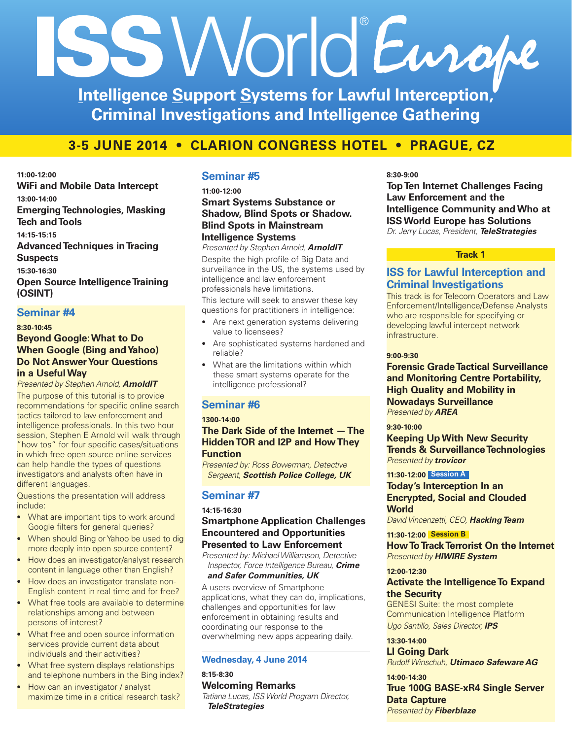# **ISS**World® Europe

**Intelligence Support Systems for Lawful Interception, Criminal Investigations and Intelligence Gathering**

## **3-5 JUNE 2014 • CLARION CONGRESS HOTEL • PRAGUE, CZ**

**11:00-12:00 WiFi and Mobile Data Intercept 13:00-14:00 EmergingTechnologies, Masking Tech andTools 14:15-15:15 AdvancedTechniques inTracing Suspects 15:30-16:30 Open Source Intelligence Training (OSINT)**

#### **Seminar #4**

#### **8:30-10:45**

#### **Beyond Google:What to Do When Google (Bing andYahoo) Do Not AnswerYour Questions in a UsefulWay**

*Presented by Stephen Arnold, ArnoldIT*

The purpose of this tutorial is to provide recommendations for specific online search tactics tailored to law enforcement and intelligence professionals. In this two hour session, Stephen E Arnold will walk through "how tos" for four specific cases/situations in which free open source online services can help handle the types of questions investigators and analysts often have in different languages.

Questions the presentation will address include:

- What are important tips to work around Google filters for general queries?
- When should Bing or Yahoo be used to dig more deeply into open source content?
- How does an investigator/analyst research content in language other than English?
- How does an investigator translate non-English content in real time and for free?
- What free tools are available to determine relationships among and between persons of interest?
- What free and open source information services provide current data about individuals and their activities?
- What free system displays relationships and telephone numbers in the Bing index?
- How can an investigator / analyst maximize time in a critical research task?

#### **Seminar #5**

**11:00-12:00 Smart Systems Substance or Shadow, Blind Spots or Shadow. Blind Spots in Mainstream Intelligence Systems**

*Presented by Stephen Arnold, ArnoldIT* Despite the high profile of Big Data and surveillance in the US, the systems used by intelligence and law enforcement professionals have limitations.

This lecture will seek to answer these key questions for practitioners in intelligence:

- Are next generation systems delivering value to licensees?
- Are sophisticated systems hardened and reliable?
- What are the limitations within which these smart systems operate for the intelligence professional?

#### **Seminar #6**

#### **1300-14:00**

#### **The Dark Side of the Internet —The HiddenTOR and I2P and HowThey Function**

*Presented by: Ross Bowerman, Detective Sergeant, Scottish Police College, UK*

#### **Seminar #7**

#### **14:15-16:30**

#### **Smartphone Application Challenges Encountered and Opportunities Presented to Law Enforcement**

*Presented by: MichaelWilliamson, Detective Inspector, Force Intelligence Bureau, Crime*

#### *and Safer Communities, UK*

A users overview of Smartphone applications, what they can do, implications, challenges and opportunities for law enforcement in obtaining results and coordinating our response to the overwhelming new apps appearing daily.

#### **Wednesday, 4 June 2014**

#### **8:15-8:30 Welcoming Remarks**

*Tatiana Lucas, ISSWorld Program Director, TeleStrategies*

**8:30-9:00**

**TopTen Internet Challenges Facing Law Enforcement and the Intelligence Community andWho at ISSWorld Europe has Solutions** *Dr. Jerry Lucas, President, TeleStrategies*

#### **Track 1**

#### **ISS for Lawful Interception and Criminal Investigations**

This track is for Telecom Operators and Law Enforcement/Intelligence/Defense Analysts who are responsible for specifying or developing lawful intercept network infrastructure.

#### **9:00-9:30**

**Forensic GradeTactical Surveillance and Monitoring Centre Portability, High Quality and Mobility in Nowadays Surveillance** *Presented by AREA*

#### **9:30-10:00**

**Keeping UpWith New Security Trends & SurveillanceTechnologies** *Presented by trovicor*

#### **11:30-12:00 Session A**

#### **Today's Interception In an Encrypted, Social and Clouded World**

*David Vincenzetti, CEO*, **Hacking Team** 

#### **11:30-12:00 Session B**

**HowToTrackTerrorist On the Internet** *Presented by HIWIRE System*

#### **12:00-12:30**

#### **Activate the IntelligenceTo Expand the Security**

GENESI Suite: the most complete Communication Intelligence Platform *Ugo Santillo, Sales Director, IPS*

#### **13:30-14:00**

**LI Going Dark** *RudolfWinschuh, Utimaco Safeware AG*

**14:00-14:30 True 100G BASE-xR4 Single Server Data Capture** *Presented by Fiberblaze*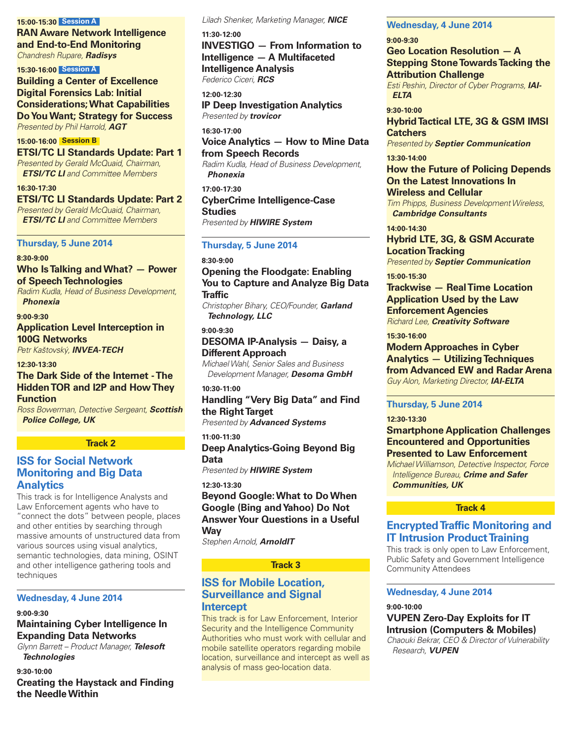#### **15:00-15:30 Session A**

**RAN Aware Network Intelligence and End-to-End Monitoring** *Chandresh Rupare, Radisys*

#### **15:30-16:00 Session A**

**Building a Center of Excellence Digital Forensics Lab: Initial Considerations;What Capabilities DoYouWant; Strategy for Success** *Presented by Phil Harrold, AGT*

#### **15:00-16:00 Session B**

**ETSI/TC LI Standards Update: Part 1** *Presented by Gerald McQuaid, Chairman, ETSI/TC LI and Committee Members*

**16:30-17:30 ETSI/TC LI Standards Update: Part 2** *Presented by Gerald McQuaid, Chairman,*

*ETSI/TC LI and Committee Members*

#### **Thursday, 5 June 2014**

**8:30-9:00**

#### **Who IsTalking andWhat? — Power of SpeechTechnologies**

*Radim Kudla, Head of Business Development, Phonexia*

**9:00-9:30**

#### **Application Level Interception in 100G Networks**

*Petr Kaštovský, INVEA-TECH*

#### **12:30-13:30 The Dark Side of the Internet -The HiddenTOR and I2P and HowThey Function**

*Ross Bowerman, Detective Sergeant, Scottish Police College, UK*

#### **Track 2**

#### **ISS for Social Network Monitoring and Big Data Analytics**

This track is for Intelligence Analysts and Law Enforcement agents who have to "connect the dots" between people, places and other entities by searching through massive amounts of unstructured data from various sources using visual analytics, semantic technologies, data mining, OSINT and other intelligence gathering tools and techniques

#### **Wednesday, 4 June 2014**

#### **9:00-9:30**

#### **Maintaining Cyber Intelligence In Expanding Data Networks**

*Glynn Barrett – Product Manager, Telesoft Technologies*

**9:30-10:00**

**Creating the Haystack and Finding the NeedleWithin**

#### *Lilach Shenker, Marketing Manager, NICE*

**11:30-12:00 INVESTIGO — From Information to Intelligence — A Multifaceted Intelligence Analysis** *Federico Ciceri, RCS*

**12:00-12:30 IP Deep Investigation Analytics** *Presented by trovicor*

**16:30-17:00**

#### **Voice Analytics — How to Mine Data from Speech Records**

*Radim Kudla, Head of Business Development, Phonexia*

#### **17:00-17:30 CyberCrime Intelligence-Case Studies**

*Presented by HIWIRE System*

#### **Thursday, 5 June 2014**

#### **8:30-9:00**

**Opening the Floodgate: Enabling You to Capture and Analyze Big Data Traffic** *Christopher Bihary, CEO/Founder, Garland*

*Technology, LLC*

#### **9:00-9:30**

**DESOMA IP-Analysis — Daisy, a Different Approach**

*MichaelWahl, Senior Sales and Business Development Manager, Desoma GmbH*

#### **10:30-11:00**

**Handling "Very Big Data" and Find the RightTarget**

*Presented by Advanced Systems*

#### **11:00-11:30**

**Deep Analytics-Going Beyond Big Data**

*Presented by HIWIRE System*

#### **12:30-13:30**

**Beyond Google:What to DoWhen Google (Bing andYahoo) Do Not AnswerYour Questions in a Useful Way**

*Stephen Arnold, ArnoldIT*

#### **Track 3**

#### **ISS for Mobile Location, Surveillance and Signal Intercept**

This track is for Law Enforcement, Interior Security and the Intelligence Community Authorities who must work with cellular and mobile satellite operators regarding mobile location, surveillance and intercept as well as analysis of mass geo-location data.

#### **Wednesday, 4 June 2014**

#### **9:00-9:30**

#### **Geo Location Resolution — A Stepping StoneTowardsTacking the Attribution Challenge** *Esti Peshin, Director of Cyber Programs, IAI-*

*ELTA*

#### **9:30-10:00**

**HybridTactical LTE, 3G & GSM IMSI Catchers**

*Presented by Septier Communication*

#### **13:30-14:00**

#### **How the Future of Policing Depends On the Latest Innovations In Wireless and Cellular**

*Tim Phipps, Business DevelopmentWireless, Cambridge Consultants*

**14:00-14:30**

#### **Hybrid LTE, 3G, & GSM Accurate Location Tracking** *Presented by Septier Communication*

#### **15:00-15:30**

**Trackwise — RealTime Location Application Used by the Law Enforcement Agencies** *Richard Lee, Creativity Software*

#### **15:30-16:00**

**Modern Approaches in Cyber Analytics — UtilizingTechniques from Advanced EW and Radar Arena** *Guy Alon, Marketing Director, IAI-ELTA*

#### **Thursday, 5 June 2014**

#### **12:30-13:30**

#### **Smartphone Application Challenges Encountered and Opportunities Presented to Law Enforcement**

*MichaelWilliamson, Detective Inspector, Force Intelligence Bureau, Crime and Safer Communities, UK*

#### **Track 4**

#### **EncryptedTraffic Monitoring and IT** Intrusion Product Training

This track is only open to Law Enforcement, Public Safety and Government Intelligence Community Attendees

#### **Wednesday, 4 June 2014**

**9:00-10:00 VUPEN Zero-Day Exploits for IT Intrusion (Computers & Mobiles)**

*Chaouki Bekrar, CEO & Director of Vulnerability Research, VUPEN*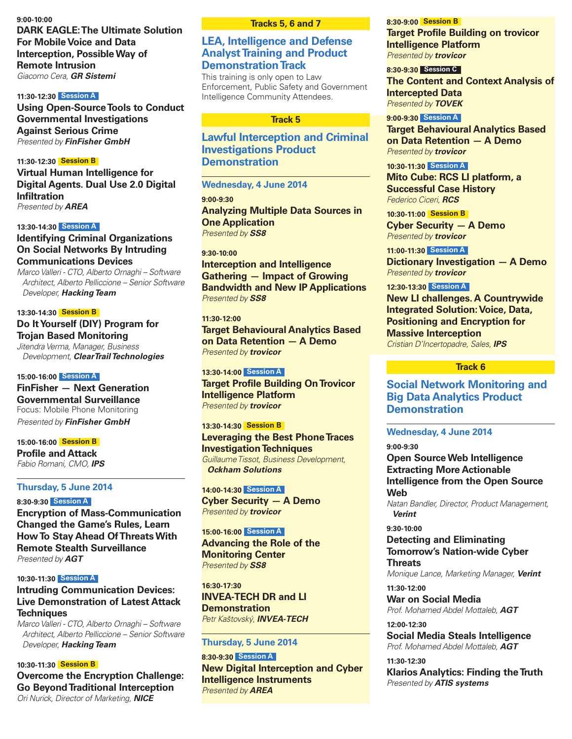**9:00-10:00 DARK EAGLE:The Ultimate Solution For Mobile Voice and Data Interception, PossibleWay of Remote Intrusion** *Giacomo Cera, GR Sistemi*

#### **11:30-12:30 Session A**

**Using Open-SourceTools to Conduct Governmental Investigations Against Serious Crime** *Presented by FinFisher GmbH*

#### **11:30-12:30 Session B**

**Virtual Human Intelligence for Digital Agents. Dual Use 2.0 Digital Infiltration** *Presented by AREA*

#### **13:30-14:30 Session A**

**Identifying Criminal Organizations On Social Networks By Intruding Communications Devices**

*Marco Valleri - CTO, Alberto Ornaghi – Software Architect, Alberto Pelliccione – Senior Software Developer*, **Hacking Team** 

#### **13:30-14:30 Session B**

**Do ItYourself (DIY) Program for Trojan Based Monitoring** *Jitendra Verma, Manager, Business*

*Development, ClearTrailTechnologies*

**15:00-16:00 Session A FinFisher — Next Generation Governmental Surveillance** Focus: Mobile Phone Monitoring *Presented by FinFisher GmbH*

**15:00-16:00 Session B Profile and Attack** *Fabio Romani, CMO, IPS*

#### **Thursday, 5 June 2014**

**8:30-9:30 Session A**

**Encryption of Mass-Communication Changed the Game's Rules, Learn HowTo Stay Ahead OfThreatsWith Remote Stealth Surveillance** *Presented by AGT*

**10:30-11:30 Session A Intruding Communication Devices: Live Demonstration of Latest Attack Techniques** *Marco Valleri - CTO, Alberto Ornaghi – Software*

*Architect, Alberto Pelliccione – Senior Software Developer*, **Hacking Team** 

**10:30-11:30 Session B Overcome the Encryption Challenge: Go BeyondTraditional Interception** *Ori Nurick, Director of Marketing, NICE*

#### **Tracks 5, 6 and 7**

#### **LEA, Intelligence and Defense AnalystTraining and Product Demonstration Track**

This training is only open to Law Enforcement, Public Safety and Government Intelligence Community Attendees.

#### **Track 5**

#### **Lawful Interception and Criminal Investigations Product Demonstration**

#### **Wednesday, 4 June 2014**

**9:00-9:30 Analyzing Multiple Data Sources in One Application** *Presented by SS8*

#### **9:30-10:00**

**Interception and Intelligence Gathering — Impact of Growing Bandwidth and New IP Applications** *Presented by SS8*

#### **11:30-12:00**

**Target Behavioural Analytics Based on Data Retention — A Demo** *Presented by trovicor*

#### **13:30-14:00 Session A**

**Target Profile Building On Trovicor Intelligence Platform** *Presented by trovicor*

#### **13:30-14:30 Session B**

**Leveraging the Best PhoneTraces InvestigationTechniques** *GuillaumeTissot, Business Development, Ockham Solutions*

#### **14:00-14:30 Session A**

**Cyber Security — A Demo** *Presented by trovicor*

#### **15:00-16:00 Session A**

**Advancing the Role of the Monitoring Center** *Presented by SS8*

**16:30-17:30 INVEA-TECH DR and LI Demonstration** *Petr Kaštovský, INVEA-TECH*

#### **Thursday, 5 June 2014**

**8:30-9:30 Session A New Digital Interception and Cyber Intelligence Instruments** *Presented by AREA*

#### **8:30-9:00 Session B**

**Target Profile Building on trovicor Intelligence Platform** *Presented by trovicor*

#### **8:30-9:30 Session C**

**The Content and Context Analysis of Intercepted Data** *Presented by TOVEK*

#### **9:00-9:30 Session A**

**Target Behavioural Analytics Based on Data Retention — A Demo** *Presented by trovicor*

**10:30-11:30 Session A Mito Cube: RCS LI platform, a Successful Case History** *Federico Ciceri, RCS*

**10:30-11:00 Session B Cyber Security — A Demo** *Presented by trovicor*

**11:00-11:30 Session A Dictionary Investigation — A Demo** *Presented by trovicor*

#### **12:30-13:30 Session A**

**New LI challenges. A Countrywide Integrated Solution:Voice, Data, Positioning and Encryption for Massive Interception** *Cristian D'Incertopadre, Sales, IPS*

#### **Track 6**

**Social Network Monitoring and Big Data Analytics Product Demonstration**

#### **Wednesday, 4 June 2014**

**9:00-9:30 Open SourceWeb Intelligence Extracting More Actionable Intelligence from the Open Source Web** *Natan Bandler, Director, Product Management, Verint* **9:30-10:00 Detecting and Eliminating Tomorrow's Nation-wide Cyber Threats** *Monique Lance, Marketing Manager, Verint*

**11:30-12:00 War on Social Media** *Prof. Mohamed Abdel Mottaleb, AGT*

**12:00-12:30 Social Media Steals Intelligence** *Prof. Mohamed Abdel Mottaleb, AGT*

**11:30-12:30 Klarios Analytics: Finding theTruth** *Presented by ATIS systems*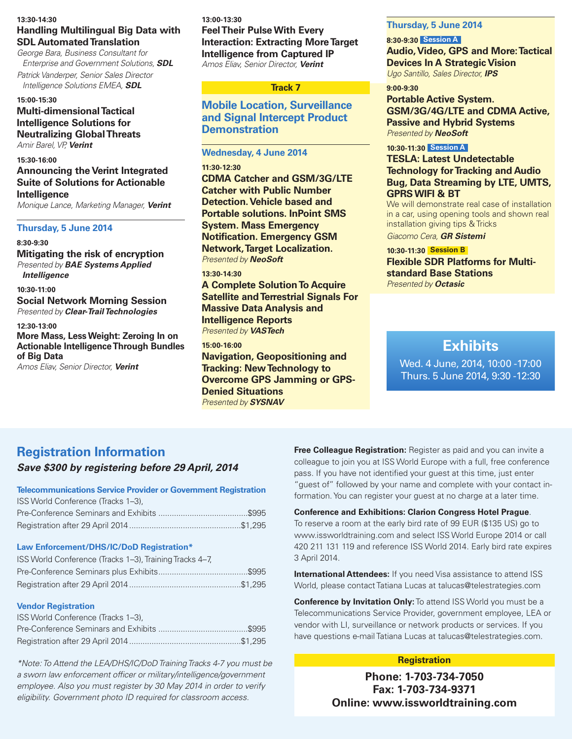#### **13:30-14:30 Handling Multilingual Big Data with SDL AutomatedTranslation**

*George Bara, Business Consultant for Enterprise and Government Solutions, SDL*

*Patrick Vanderper, Senior Sales Director Intelligence Solutions EMEA, SDL*

#### **15:00-15:30**

#### **Multi-dimensionalTactical Intelligence Solutions for Neutralizing GlobalThreats** *Amir Barel, VP, Verint*

#### **15:30-16:00**

#### **Announcing the Verint Integrated Suite of Solutions for Actionable Intelligence** *Monique Lance, Marketing Manager, Verint*

#### **Thursday, 5 June 2014**

**8:30-9:30 Mitigating the risk of encryption** *Presented by BAE Systems Applied Intelligence*

**10:30-11:00 Social Network Morning Session**

*Presented by Clear-TrailTechnologies*

**12:30-13:00 More Mass, LessWeight: Zeroing In on Actionable IntelligenceThrough Bundles of Big Data** *Amos Eliav, Senior Director, Verint*

**13:00-13:30 FeelTheir PulseWith Every Interaction: Extracting More Target Intelligence from Captured IP** *Amos Eliav, Senior Director, Verint*

#### **Track 7**

**Mobile Location, Surveillance and Signal Intercept Product Demonstration**

#### **Wednesday, 4 June 2014**

**11:30-12:30 CDMA Catcher and GSM/3G/LTE Catcher with Public Number Detection.Vehicle based and Portable solutions. InPoint SMS System. Mass Emergency Notification. Emergency GSM Network,Target Localization.** *Presented by NeoSoft*

#### **13:30-14:30**

**A Complete SolutionTo Acquire Satellite andTerrestrial Signals For Massive Data Analysis and Intelligence Reports** *Presented by VASTech*

**15:00-16:00 Navigation, Geopositioning and Tracking: NewTechnology to Overcome GPS Jamming or GPS-Denied Situations** *Presented by SYSNAV*

#### **Thursday, 5 June 2014**

#### **8:30-9:30 Session A**

**Audio,Video, GPS and More:Tactical Devices In A Strategic Vision** *Ugo Santillo, Sales Director, IPS*

#### **9:00-9:30**

**Portable Active System. GSM/3G/4G/LTE and CDMA Active, Passive and Hybrid Systems** *Presented by NeoSoft*

#### **10:30-11:30 Session A**

**TESLA: Latest Undetectable Technology forTracking and Audio Bug, Data Streaming by LTE, UMTS, GPRSWIFI & BT**

We will demonstrate real case of installation in a car, using opening tools and shown real installation giving tips & Tricks

*Giacomo Cera, GR Sistemi*

**10:30-11:30 Session B Flexible SDR Platforms for Multistandard Base Stations** *Presented by Octasic*

### **Exhibits**

Wed. 4 June, 2014, 10:00 -17:00 Thurs. 5 June 2014, 9:30 -12:30

#### **Registration Information** *Save \$300 by registering before 29 April, 2014*

| <b>Telecommunications Service Provider or Government Registration</b> |  |
|-----------------------------------------------------------------------|--|
| ISS World Conference (Tracks 1–3).                                    |  |
|                                                                       |  |
|                                                                       |  |

#### **Law Enforcement/DHS/IC/DoD Registration\***

| ISS World Conference (Tracks 1–3), Training Tracks 4–7, |  |
|---------------------------------------------------------|--|
|                                                         |  |
|                                                         |  |

#### **Vendor Registration**

| ISS World Conference (Tracks 1–3). |  |
|------------------------------------|--|
|                                    |  |
|                                    |  |

*\*Note:To Attend the LEA/DHS/IC/DoDTraining Tracks 4-7 you must be a sworn law enforcement officer or military/intelligence/government employee. Also you must register by 30 May 2014 in order to verify eligibility. Government photo ID required for classroom access.*

**Free Colleague Registration:** Register as paid and you can invite a colleague to join you at ISS World Europe with a full, free conference pass. If you have not identified your guest at this time, just enter "guest of" followed by your name and complete with your contact information. You can register your guest at no charge at a later time.

#### **Conference and Exhibitions: Clarion Congress Hotel Prague**.

To reserve a room at the early bird rate of 99 EUR (\$135 US) go to www.issworldtraining.com and select ISS World Europe 2014 or call 420 211 131 119 and reference ISS World 2014. Early bird rate expires 3 April 2014.

**International Attendees:** If you need Visa assistance to attend ISS World, please contact Tatiana Lucas at talucas@telestrategies.com

**Conference by Invitation Only:** To attend ISS World you must be a Telecommunications Service Provider, government employee, LEA or vendor with LI, surveillance or network products or services. If you have questions e-mail Tatiana Lucas at talucas@telestrategies.com.

#### **Registration**

**Phone: 1-703-734-7050 Fax: 1-703-734-9371 Online: www.issworldtraining.com**